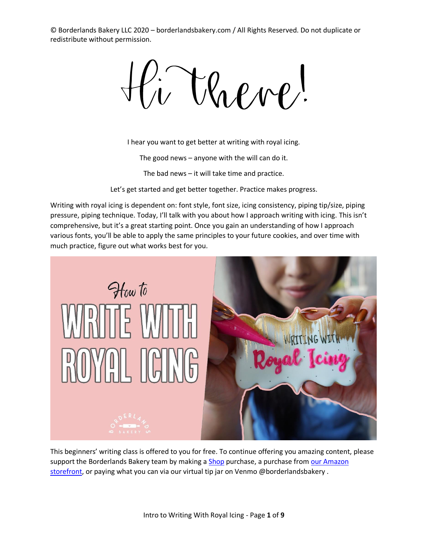li Valve!

I hear you want to get better at writing with royal icing.

The good news – anyone with the will can do it.

The bad news – it will take time and practice.

Let's get started and get better together. Practice makes progress.

Writing with royal icing is dependent on: font style, font size, icing consistency, piping tip/size, piping pressure, piping technique. Today, I'll talk with you about how I approach writing with icing. This isn't comprehensive, but it's a great starting point. Once you gain an understanding of how I approach various fonts, you'll be able to apply the same principles to your future cookies, and over time with much practice, figure out what works best for you.



This beginners' writing class is offered to you for free. To continue offering you amazing content, please support the Borderlands Bakery team by making [a Shop](borderlandsbakery.com/shop) purchase, a purchase from our Amazon [storefront,](https://www.amazon.com/shop/borderlandsbakery) or paying what you can via our virtual tip jar on Venmo @borderlandsbakery.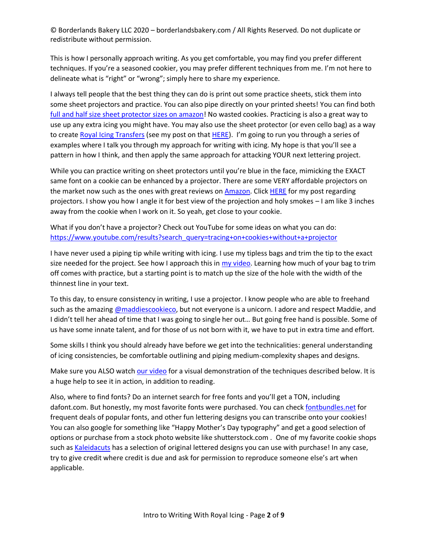This is how I personally approach writing. As you get comfortable, you may find you prefer different techniques. If you're a seasoned cookier, you may prefer different techniques from me. I'm not here to delineate what is "right" or "wrong"; simply here to share my experience.

I always tell people that the best thing they can do is print out some practice sheets, stick them into some sheet projectors and practice. You can also pipe directly on your printed sheets! You can find both [full and half size sheet protector sizes on amazon!](https://amzn.to/2zwHFWV) No wasted cookies. Practicing is also a great way to use up any extra icing you might have. You may also use the sheet protector (or even cello bag) as a way to create [Royal Icing Transfers](https://borderlandsbakery.com/cookie-decorating-resources/royal-icing-transfers-endless-possibilities/) (see my post on tha[t HERE\)](https://borderlandsbakery.com/cookie-decorating-resources/royal-icing-transfers-endless-possibilities/). I'm going to run you through a series of examples where I talk you through my approach for writing with icing. My hope is that you'll see a pattern in how I think, and then apply the same approach for attacking YOUR next lettering project.

While you can practice writing on sheet protectors until you're blue in the face, mimicking the EXACT same font on a cookie can be enhanced by a projector. There are some VERY affordable projectors on the market now such as the ones with great reviews on **Amazon**. Click **HERE** for my post regarding projectors. I show you how I angle it for best view of the projection and holy smokes – I am like 3 inches away from the cookie when I work on it. So yeah, get close to your cookie.

What if you don't have a projector? Check out YouTube for some ideas on what you can do: [https://www.youtube.com/results?search\\_query=tracing+on+cookies+without+a+projector](https://www.youtube.com/results?search_query=tracing+on+cookies+without+a+projector)

I have never used a piping tip while writing with icing. I use my tipless bags and trim the tip to the exact size needed for the project. See how I approach this in [my video.](https://youtu.be/Y5otA_VTzQk) Learning how much of your bag to trim off comes with practice, but a starting point is to match up the size of the hole with the width of the thinnest line in your text.

To this day, to ensure consistency in writing, I use a projector. I know people who are able to freehand such as the amazing [@maddiescookieco,](https://www.instagram.com/maddiescookieco/?hl=en) but not everyone is a unicorn. I adore and respect Maddie, and I didn't tell her ahead of time that I was going to single her out… But going free hand is possible. Some of us have some innate talent, and for those of us not born with it, we have to put in extra time and effort.

Some skills I think you should already have before we get into the technicalities: general understanding of icing consistencies, be comfortable outlining and piping medium-complexity shapes and designs.

Make sure you ALSO watch our [video](https://youtu.be/Y5otA_VTzQk) for a visual demonstration of the techniques described below. It is a huge help to see it in action, in addition to reading.

Also, where to find fonts? Do an internet search for free fonts and you'll get a TON, including dafont.com. But honestly, my most favorite fonts were purchased. You can check [fontbundles.net](https://fontbundles.net/rel=D63n50) for frequent deals of popular fonts, and other fun lettering designs you can transcribe onto your cookies! You can also google for something like "Happy Mother's Day typography" and get a good selection of options or purchase from a stock photo website like shutterstock.com . One of my favorite cookie shops such as [Kaleidacuts](https://www.kaleidacuts.com/collections/downloads) has a selection of original lettered designs you can use with purchase! In any case, try to give credit where credit is due and ask for permission to reproduce someone else's art when applicable.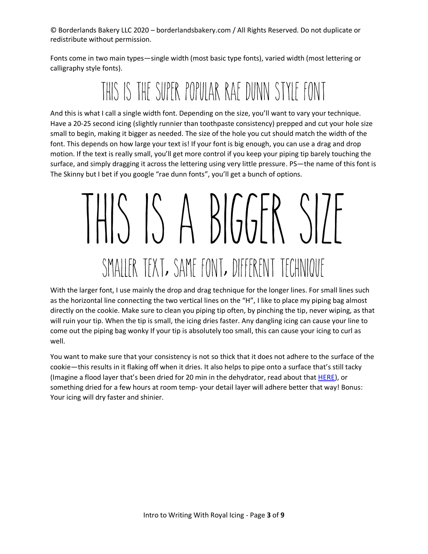Fonts come in two main types—single width (most basic type fonts), varied width (most lettering or calligraphy style fonts).

### THIS IS THE SUPER POPULAR RAE DUNN STYLE FONT

And this is what I call a single width font. Depending on the size, you'll want to vary your technique. Have a 20-25 second icing (slightly runnier than toothpaste consistency) prepped and cut your hole size small to begin, making it bigger as needed. The size of the hole you cut should match the width of the font. This depends on how large your text is! If your font is big enough, you can use a drag and drop motion. If the text is really small, you'll get more control if you keep your piping tip barely touching the surface, and simply dragging it across the lettering using very little pressure. PS—the name of this font is The Skinny but I bet if you google "rae dunn fonts", you'll get a bunch of options.

# $HHS SS A BIGGR SIP$ SMALLER TEXT, SAME FONT, DIFFERENT TECHNIQUE

With the larger font, I use mainly the drop and drag technique for the longer lines. For small lines such as the horizontal line connecting the two vertical lines on the "H", I like to place my piping bag almost directly on the cookie. Make sure to clean you piping tip often, by pinching the tip, never wiping, as that will ruin your tip. When the tip is small, the icing dries faster. Any dangling icing can cause your line to come out the piping bag wonky If your tip is absolutely too small, this can cause your icing to curl as well.

You want to make sure that your consistency is not so thick that it does not adhere to the surface of the cookie—this results in it flaking off when it dries. It also helps to pipe onto a surface that's still tacky (Imagine a flood layer that's been dried for 20 min in the dehydrator, read about that [HERE\)](https://borderlandsbakery.com/cookie-decorating-resources/best-food-dehydrator/), or something dried for a few hours at room temp- your detail layer will adhere better that way! Bonus: Your icing will dry faster and shinier.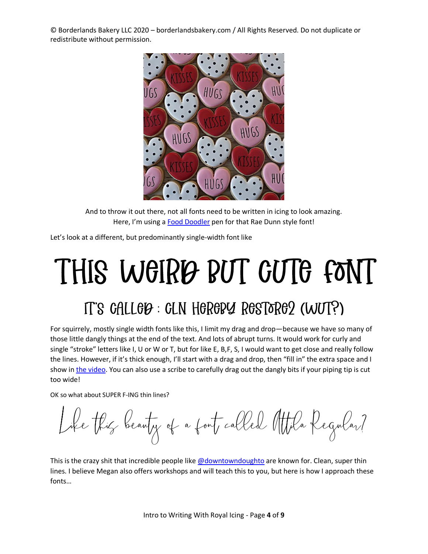

And to throw it out there, not all fonts need to be written in icing to look amazing. Here, I'm using [a Food Doodler](https://amzn.to/3dSqdLg) pen for that Rae Dunn style font!

Let's look at a different, but predominantly single-width font like

## THIS WGIRD RUT GUTG FONT IT'S GALLOP: GLN HOROPY ROSTORO2 (WUT?)

For squirrely, mostly single width fonts like this, I limit my drag and drop—because we have so many of those little dangly things at the end of the text. And lots of abrupt turns. It would work for curly and single "stroke" letters like I, U or W or T, but for like E, B,F, S, I would want to get close and really follow the lines. However, if it's thick enough, I'll start with a drag and drop, then "fill in" the extra space and I show in [the video.](https://youtu.be/Y5otA_VTzQk) You can also use a scribe to carefully drag out the dangly bits if your piping tip is cut too wide!

OK so what about SUPER F-ING thin lines?

Like this beauty of a fout called Attila Regular?

This is the crazy shit that incredible people lik[e @downtowndoughto](https://www.instagram.com/downtowndoughto/) are known for. Clean, super thin lines. I believe Megan also offers workshops and will teach this to you, but here is how I approach these fonts…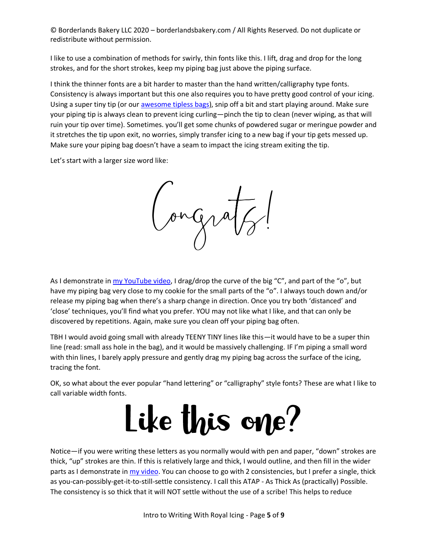I like to use a combination of methods for swirly, thin fonts like this. I lift, drag and drop for the long strokes, and for the short strokes, keep my piping bag just above the piping surface.

I think the thinner fonts are a bit harder to master than the hand written/calligraphy type fonts. Consistency is always important but this one also requires you to have pretty good control of your icing. Using a super tiny tip (or our [awesome tipless bags\)](https://borderlandsbakery.com/product-page/tipless-piping-bags-s-or-m-100-pcs/), snip off a bit and start playing around. Make sure your piping tip is always clean to prevent icing curling—pinch the tip to clean (never wiping, as that will ruin your tip over time). Sometimes. you'll get some chunks of powdered sugar or meringue powder and it stretches the tip upon exit, no worries, simply transfer icing to a new bag if your tip gets messed up. Make sure your piping bag doesn't have a seam to impact the icing stream exiting the tip.

Let's start with a larger size word like:

Congra

As I demonstrate i[n my YouTube](https://youtu.be/Y5otA_VTzQk) video, I drag/drop the curve of the big "C", and part of the "o", but have my piping bag very close to my cookie for the small parts of the "o". I always touch down and/or release my piping bag when there's a sharp change in direction. Once you try both 'distanced' and 'close' techniques, you'll find what you prefer. YOU may not like what I like, and that can only be discovered by repetitions. Again, make sure you clean off your piping bag often.

TBH I would avoid going small with already TEENY TINY lines like this—it would have to be a super thin line (read: small ass hole in the bag), and it would be massively challenging. IF I'm piping a small word with thin lines, I barely apply pressure and gently drag my piping bag across the surface of the icing, tracing the font.

OK, so what about the ever popular "hand lettering" or "calligraphy" style fonts? These are what I like to call variable width fonts.

## Like this one?

Notice—if you were writing these letters as you normally would with pen and paper, "down" strokes are thick, "up" strokes are thin. If this is relatively large and thick, I would outline, and then fill in the wider parts as I demonstrate in [my video.](https://youtu.be/Y5otA_VTzQk) You can choose to go with 2 consistencies, but I prefer a single, thick as you-can-possibly-get-it-to-still-settle consistency. I call this ATAP - As Thick As (practically) Possible. The consistency is so thick that it will NOT settle without the use of a scribe! This helps to reduce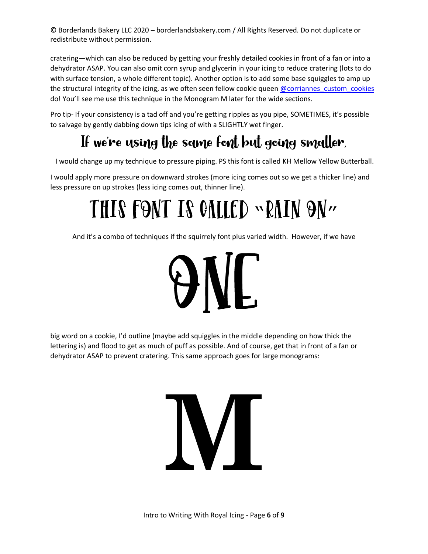cratering—which can also be reduced by getting your freshly detailed cookies in front of a fan or into a dehydrator ASAP. You can also omit corn syrup and glycerin in your icing to reduce cratering (lots to do with surface tension, a whole different topic). Another option is to add some base squiggles to amp up the structural integrity of the icing, as we often seen fellow cookie queen [@corriannes\\_custom\\_cookies](https://www.instagram.com/coriannes_custom_cookies/) do! You'll see me use this technique in the Monogram M later for the wide sections.

Pro tip- If your consistency is a tad off and you're getting ripples as you pipe, SOMETIMES, it's possible to salvage by gently dabbing down tips icing of with a SLIGHTLY wet finger.

#### If we're using the same font but going smaller

I would change up my technique to pressure piping. PS this font is called KH Mellow Yellow Butterball.

I would apply more pressure on downward strokes (more icing comes out so we get a thicker line) and less pressure on up strokes (less icing comes out, thinner line).

## THIS FONT IS CALLED ~RAIN ON"

And it's a combo of techniques if the squirrely font plus varied width. However, if we have



big word on a cookie, I'd outline (maybe add squiggles in the middle depending on how thick the lettering is) and flood to get as much of puff as possible. And of course, get that in front of a fan or dehydrator ASAP to prevent cratering. This same approach goes for large monograms:

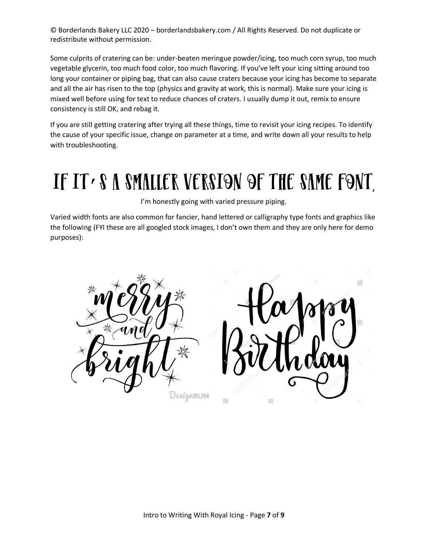Some culprits of cratering can be: under-beaten meringue powder/icing, too much corn syrup, too much vegetable glycerin, too much food color, too much flavoring. If you've left your icing sitting around too long your container or piping bag, that can also cause craters because your icing has become to separate and all the air has risen to the top (physics and gravity at work, this is normal). Make sure your icing is mixed well before using for text to reduce chances of craters. I usually dump it out, remix to ensure consistency is still OK, and rebag it.

If you are still getting cratering after trying all these things, time to revisit your icing recipes. To identify the cause of your specific issue, change on parameter at a time, and write down all your results to help with troubleshooting.

### IF IT . S A SMALLER VERSION OF THE SAME FONT,

I'm honestly going with varied pressure piping.

Varied width fonts are also common for fancier, hand lettered or calligraphy type fonts and graphics like the following (FYI these are all googled stock images, I don't own them and they are only here for demo purposes):

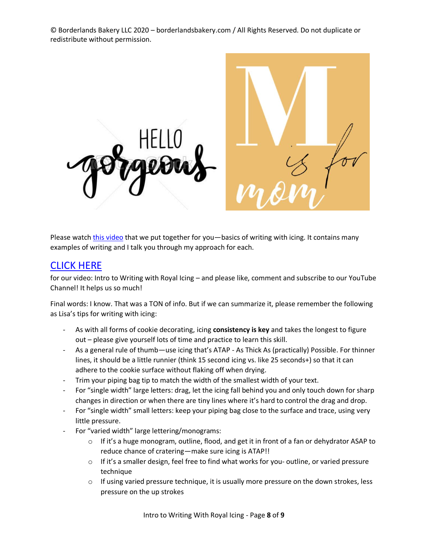

Please watch [this video](https://youtu.be/Y5otA_VTzQk) that we put together for you—basics of writing with icing. It contains many examples of writing and I talk you through my approach for each.

#### [CLICK HERE](https://youtu.be/Y5otA_VTzQk)

for our video: Intro to Writing with Royal Icing – and please like, comment and subscribe to our YouTube Channel! It helps us so much!

Final words: I know. That was a TON of info. But if we can summarize it, please remember the following as Lisa's tips for writing with icing:

- As with all forms of cookie decorating, icing **consistency is key** and takes the longest to figure out – please give yourself lots of time and practice to learn this skill.
- As a general rule of thumb—use icing that's ATAP As Thick As (practically) Possible. For thinner lines, it should be a little runnier (think 15 second icing vs. like 25 seconds+) so that it can adhere to the cookie surface without flaking off when drying.
- Trim your piping bag tip to match the width of the smallest width of your text.
- For "single width" large letters: drag, let the icing fall behind you and only touch down for sharp changes in direction or when there are tiny lines where it's hard to control the drag and drop.
- For "single width" small letters: keep your piping bag close to the surface and trace, using very little pressure.
- For "varied width" large lettering/monograms:
	- $\circ$  If it's a huge monogram, outline, flood, and get it in front of a fan or dehydrator ASAP to reduce chance of cratering—make sure icing is ATAP!!
	- o If it's a smaller design, feel free to find what works for you- outline, or varied pressure technique
	- $\circ$  If using varied pressure technique, it is usually more pressure on the down strokes, less pressure on the up strokes